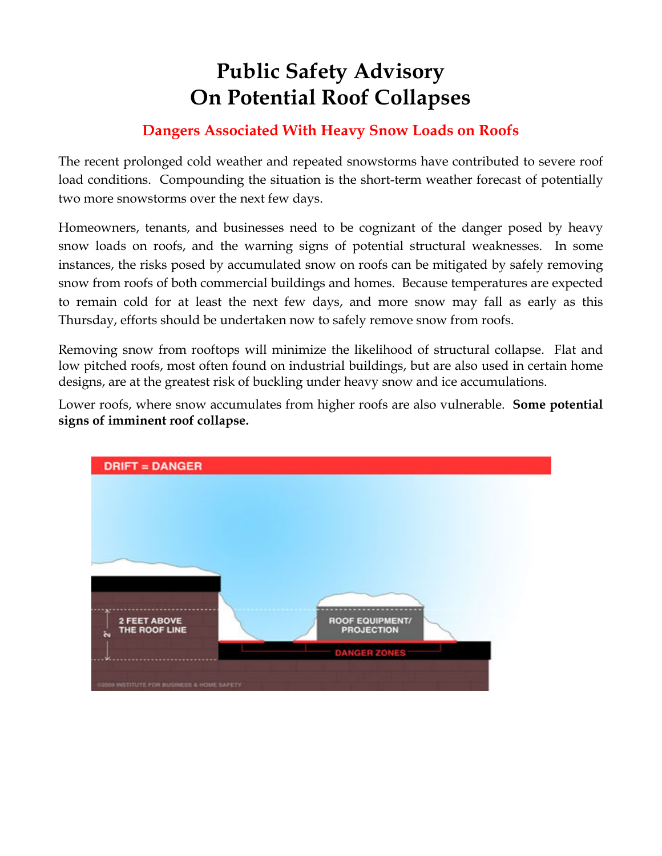# **Public Safety Advisory On Potential Roof Collapses**

#### **Dangers Associated With Heavy Snow Loads on Roofs**

The recent prolonged cold weather and repeated snowstorms have contributed to severe roof load conditions. Compounding the situation is the short-term weather forecast of potentially two more snowstorms over the next few days.

Homeowners, tenants, and businesses need to be cognizant of the danger posed by heavy snow loads on roofs, and the warning signs of potential structural weaknesses. In some instances, the risks posed by accumulated snow on roofs can be mitigated by safely removing snow from roofs of both commercial buildings and homes. Because temperatures are expected to remain cold for at least the next few days, and more snow may fall as early as this Thursday, efforts should be undertaken now to safely remove snow from roofs.

Removing snow from rooftops will minimize the likelihood of structural collapse. Flat and low pitched roofs, most often found on industrial buildings, but are also used in certain home designs, are at the greatest risk of buckling under heavy snow and ice accumulations.

Lower roofs, where snow accumulates from higher roofs are also vulnerable. **Some potential signs of imminent roof collapse.** 

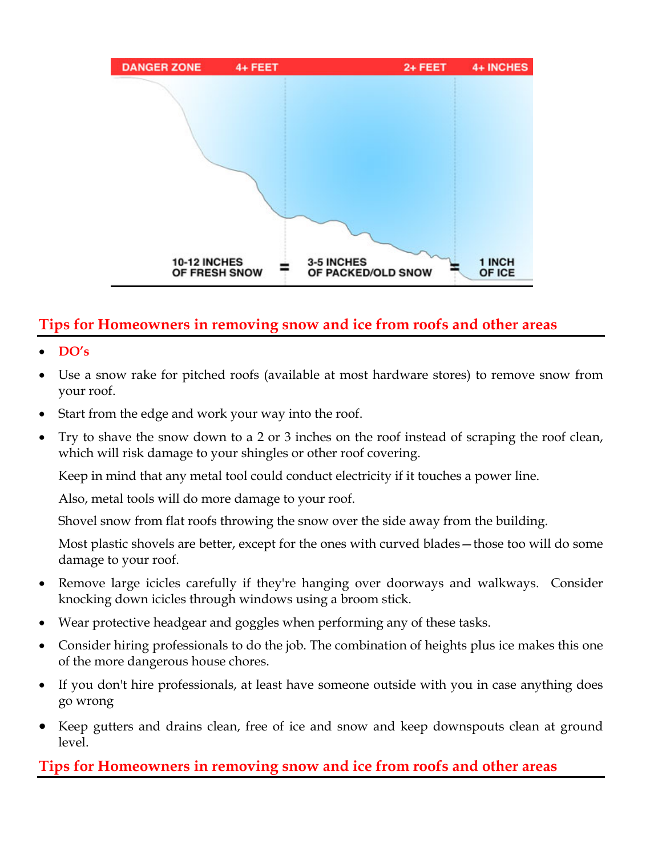

## **Tips for Homeowners in removing snow and ice from roofs and other areas**

- **DO's**
- Use a snow rake for pitched roofs (available at most hardware stores) to remove snow from your roof.
- Start from the edge and work your way into the roof.
- Try to shave the snow down to a 2 or 3 inches on the roof instead of scraping the roof clean, which will risk damage to your shingles or other roof covering.

Keep in mind that any metal tool could conduct electricity if it touches a power line.

Also, metal tools will do more damage to your roof.

Shovel snow from flat roofs throwing the snow over the side away from the building.

Most plastic shovels are better, except for the ones with curved blades—those too will do some damage to your roof.

- Remove large icicles carefully if they're hanging over doorways and walkways. Consider knocking down icicles through windows using a broom stick.
- Wear protective headgear and goggles when performing any of these tasks.
- Consider hiring professionals to do the job. The combination of heights plus ice makes this one of the more dangerous house chores.
- If you don't hire professionals, at least have someone outside with you in case anything does go wrong
- Keep gutters and drains clean, free of ice and snow and keep downspouts clean at ground level.

## **Tips for Homeowners in removing snow and ice from roofs and other areas**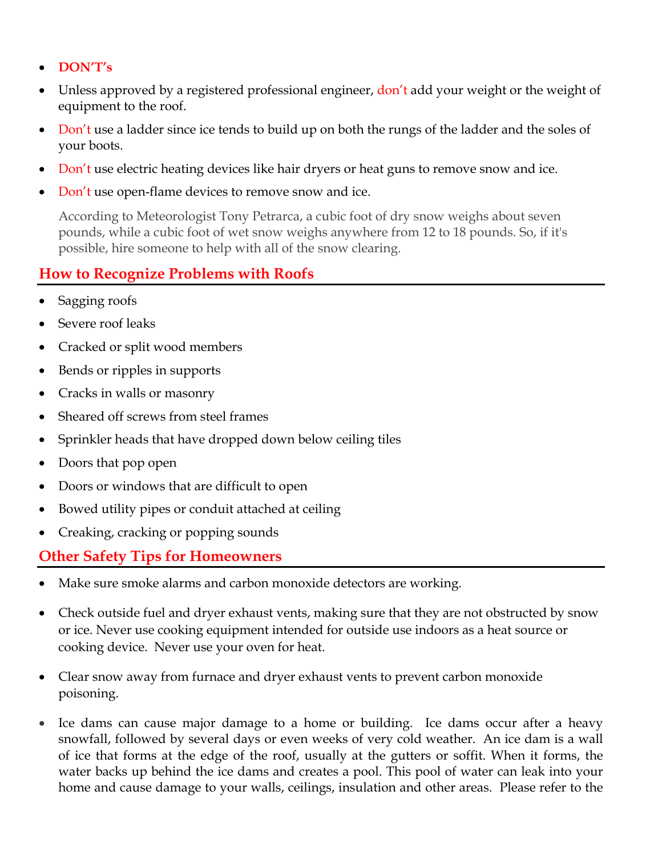- **DON'T's**
- Unless approved by a registered professional engineer, don't add your weight or the weight of equipment to the roof.
- Don't use a ladder since ice tends to build up on both the rungs of the ladder and the soles of your boots.
- Don't use electric heating devices like hair dryers or heat guns to remove snow and ice.
- Don't use open-flame devices to remove snow and ice.

According to Meteorologist Tony Petrarca, a cubic foot of dry snow weighs about seven pounds, while a cubic foot of wet snow weighs anywhere from 12 to 18 pounds. So, if it's possible, hire someone to help with all of the snow clearing.

#### **How to Recognize Problems with Roofs**

- Sagging roofs
- Severe roof leaks
- Cracked or split wood members
- Bends or ripples in supports
- Cracks in walls or masonry
- Sheared off screws from steel frames
- Sprinkler heads that have dropped down below ceiling tiles
- Doors that pop open
- Doors or windows that are difficult to open
- Bowed utility pipes or conduit attached at ceiling
- Creaking, cracking or popping sounds

## **Other Safety Tips for Homeowners**

- Make sure smoke alarms and carbon monoxide detectors are working.
- Check outside fuel and dryer exhaust vents, making sure that they are not obstructed by snow or ice. Never use cooking equipment intended for outside use indoors as a heat source or cooking device. Never use your oven for heat.
- Clear snow away from furnace and dryer exhaust vents to prevent carbon monoxide poisoning.
- Ice dams can cause major damage to a home or building. Ice dams occur after a heavy snowfall, followed by several days or even weeks of very cold weather. An ice dam is a wall of ice that forms at the edge of the roof, usually at the gutters or soffit. When it forms, the water backs up behind the ice dams and creates a pool. This pool of water can leak into your home and cause damage to your walls, ceilings, insulation and other areas. Please refer to the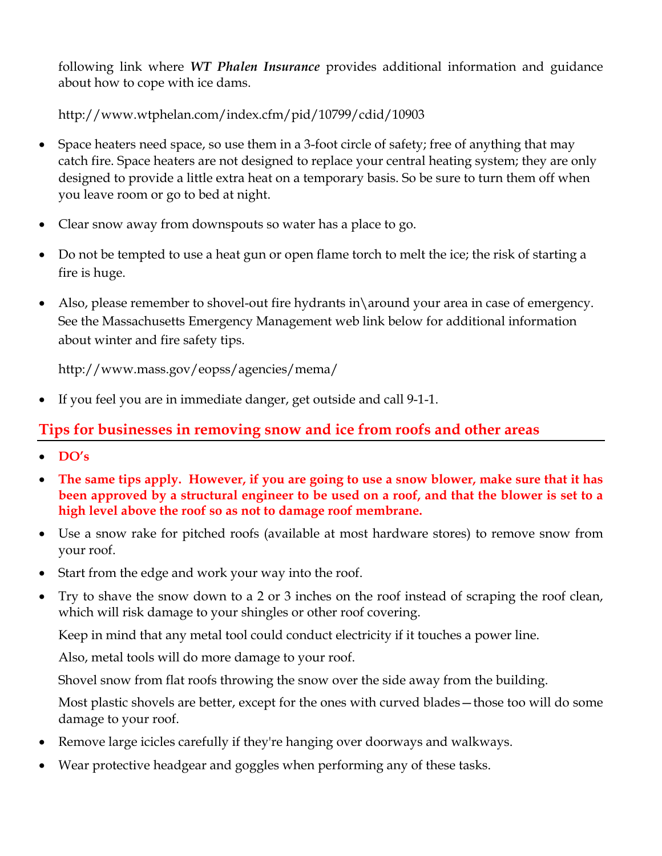following link where *WT Phalen Insurance* provides additional information and guidance about how to cope with ice dams.

http://www.wtphelan.com/index.cfm/pid/10799/cdid/10903

- Space heaters need space, so use them in a 3-foot circle of safety; free of anything that may catch fire. Space heaters are not designed to replace your central heating system; they are only designed to provide a little extra heat on a temporary basis. So be sure to turn them off when you leave room or go to bed at night.
- Clear snow away from downspouts so water has a place to go.
- Do not be tempted to use a heat gun or open flame torch to melt the ice; the risk of starting a fire is huge.
- Also, please remember to shovel-out fire hydrants in\around your area in case of emergency. See the Massachusetts Emergency Management web link below for additional information about winter and fire safety tips.

http://www.mass.gov/eopss/agencies/mema/

If you feel you are in immediate danger, get outside and call 9-1-1.

#### **Tips for businesses in removing snow and ice from roofs and other areas**

- **DO's**
- **The same tips apply. However, if you are going to use a snow blower, make sure that it has been approved by a structural engineer to be used on a roof, and that the blower is set to a high level above the roof so as not to damage roof membrane.**
- Use a snow rake for pitched roofs (available at most hardware stores) to remove snow from your roof.
- Start from the edge and work your way into the roof.
- Try to shave the snow down to a 2 or 3 inches on the roof instead of scraping the roof clean, which will risk damage to your shingles or other roof covering.

Keep in mind that any metal tool could conduct electricity if it touches a power line.

Also, metal tools will do more damage to your roof.

Shovel snow from flat roofs throwing the snow over the side away from the building.

Most plastic shovels are better, except for the ones with curved blades—those too will do some damage to your roof.

- Remove large icicles carefully if they're hanging over doorways and walkways.
- Wear protective headgear and goggles when performing any of these tasks.